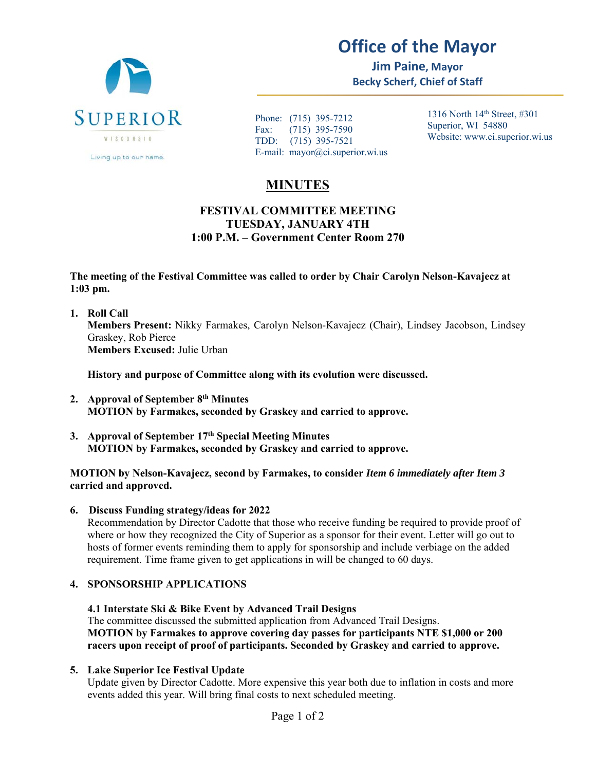

# **Office of the Mayor**

**Jim Paine, Mayor Becky Scherf, Chief of Staff** 

Phone: (715) 395-7212 Fax: (715) 395-7590 TDD: (715) 395-7521 E-mail: mayor@ci.superior.wi.us 1316 North 14th Street, #301 Superior, WI 54880 Website: www.ci.superior.wi.us

# **MINUTES**

# **FESTIVAL COMMITTEE MEETING TUESDAY, JANUARY 4TH 1:00 P.M. – Government Center Room 270**

**The meeting of the Festival Committee was called to order by Chair Carolyn Nelson-Kavajecz at 1:03 pm.** 

**1. Roll Call Members Present:** Nikky Farmakes, Carolyn Nelson-Kavajecz (Chair), Lindsey Jacobson, Lindsey Graskey, Rob Pierce **Members Excused:** Julie Urban

**History and purpose of Committee along with its evolution were discussed.** 

- **2. Approval of September 8th Minutes MOTION by Farmakes, seconded by Graskey and carried to approve.**
- **3. Approval of September 17th Special Meeting Minutes MOTION by Farmakes, seconded by Graskey and carried to approve.**

#### **MOTION by Nelson-Kavajecz, second by Farmakes, to consider** *Item 6 immediately after Item 3* **carried and approved.**

**6. Discuss Funding strategy/ideas for 2022** 

Recommendation by Director Cadotte that those who receive funding be required to provide proof of where or how they recognized the City of Superior as a sponsor for their event. Letter will go out to hosts of former events reminding them to apply for sponsorship and include verbiage on the added requirement. Time frame given to get applications in will be changed to 60 days.

# **4. SPONSORSHIP APPLICATIONS**

**4.1 Interstate Ski & Bike Event by Advanced Trail Designs**  The committee discussed the submitted application from Advanced Trail Designs. **MOTION by Farmakes to approve covering day passes for participants NTE \$1,000 or 200 racers upon receipt of proof of participants. Seconded by Graskey and carried to approve.** 

#### **5. Lake Superior Ice Festival Update**

Update given by Director Cadotte. More expensive this year both due to inflation in costs and more events added this year. Will bring final costs to next scheduled meeting.